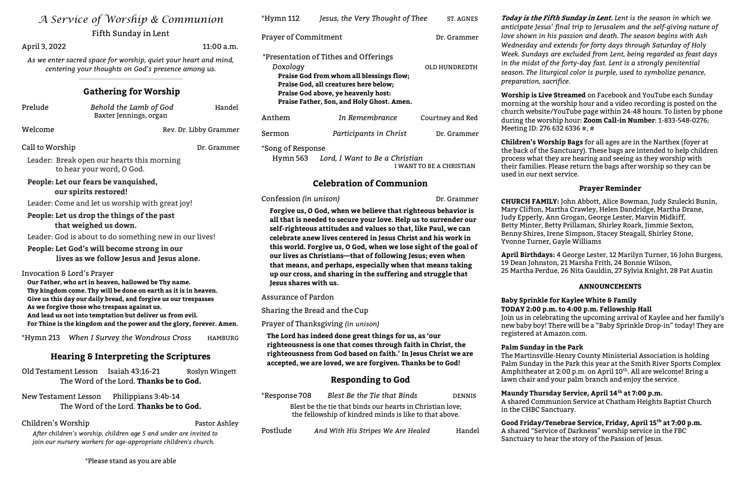| A Service of Worship & Communion |
|----------------------------------|
| Fifth Sunday in Lent             |

April 3, 2022 11:00 a.m.

As we enter sacred space for worship, quiet your heart and mind, centering your thoughts on God's presence among us.

| Prelude         | Behold the Lamb of God<br>Baxter Jennings, organ                        | Handel                 |
|-----------------|-------------------------------------------------------------------------|------------------------|
| Welcome         |                                                                         | Rev. Dr. Libby Grammer |
| Call to Worship |                                                                         | Dr. Grammer            |
|                 | Leader: Break open our hearts this morning<br>to hear your word, O God. |                        |

# Gathering for Worship

 $\mathcal{L}_\text{max}$  , and the set of the set of the set of the set of the set of the set of the set of the set of the set of the set of the set of the set of the set of the set of the set of the set of the set of the set of the

People: Let our fears be vanquished, our spirits restored!

Leader: Come and let us worship with great joy!

#### People: Let us drop the things of the past that weighed us down.

Leader: God is about to do something new in our lives!

Old Testament Lesson Isaiah 43:16-21 Roslyn Wingett The Word of the Lord. Thanks be to God.

## People: Let God's will become strong in our lives as we follow Jesus and Jesus alone.

Invocation & Lord's Prayer

Our Father, who art in heaven, hallowed be Thy name. Thy kingdom come. Thy will be done on earth as it is in heaven. Give us this day our daily bread, and forgive us our trespasses As we forgive those who trespass against us. And lead us not into temptation but deliver us from evil. For Thine is the kingdom and the power and the glory, forever. Amen.

| *Hymn 112                                                      | Jesus, the Very Thought of Thee           | ST. AGNES        |  |
|----------------------------------------------------------------|-------------------------------------------|------------------|--|
| <b>Prayer of Commitment</b>                                    |                                           | Dr. Grammer      |  |
|                                                                | *Presentation of Tithes and Offerings     |                  |  |
| Doxology                                                       |                                           | OLD HUNDREDTH    |  |
|                                                                | Praise God from whom all blessings flow;  |                  |  |
|                                                                | Praise God, all creatures here below;     |                  |  |
|                                                                | Praise God above, ye heavenly host:       |                  |  |
|                                                                | Praise Father, Son, and Holy Ghost. Amen. |                  |  |
| Anthem                                                         | In Remembrance                            | Courtney and Red |  |
| Sermon                                                         | Participants in Christ                    | Dr. Grammer      |  |
| *Song of Response<br>Lord I Want to Re a Christian<br>Hymn 563 |                                           |                  |  |

Lora, I want to be a I WANT TO BE A CHRISTIAN

\*Hymn 213 When I Survey the Wondrous Cross HAMBURG

# Hearing & Interpreting the Scriptures

New Testament Lesson Philippians 3:4b-14 The Word of the Lord. Thanks be to God.

#### Children's Worship **Pastor Ashley** Pastor Ashley

After children's worship, children age 5 and under are invited to join our nursery workers for age-appropriate children's church.

\*Please stand as you are able

Today is the Fifth Sunday in Lent. Lent is the season in which we anticipate Jesus' final trip to Jerusalem and the self-giving nature of love shown in his passion and death. The season begins with Ash Wednesday and extends for forty days through Saturday of Holy Week. Sundays are excluded from Lent, being regarded as feast days in the midst of the forty-day fast. Lent is a strongly penitential season. The liturgical color is purple, used to symbolize penance, preparation, sacrifice.

# Celebration of Communion

Confession (in unison) Dr. Grammer

Forgive us, O God, when we believe that righteous behavior is all that is needed to secure your love. Help us to surrender our self-righteous attitudes and values so that, like Paul, we can celebrate anew lives centered in Jesus Christ and his work in this world. Forgive us, O God, when we lose sight of the goal of our lives as Christians—that of following Jesus; even when that means, and perhaps, especially when that means taking up our cross, and sharing in the suffering and struggle that Jesus shares with us.

Assurance of Pardon

Sharing the Bread and the Cup

Prayer of Thanksgiving (in unison)

Maundy Thursday Service, April 14<sup>th</sup> at 7:00 p.m. A shared Communion Service at Chatham Heights Baptist Church in the CHBC Sanctuary.

Good Friday/Tenebrae Service, Friday, April 15<sup>th</sup> at 7:00 p.m. A shared "Service of Darkness" worship service in the FBC Sanctuary to hear the story of the Passion of Jesus.

The Lord has indeed done great things for us, as 'our righteousness is one that comes through faith in Christ, the righteousness from God based on faith.' In Jesus Christ we are accepted, we are loved, we are forgiven. Thanks be to God!

# Responding to God

| *Response 708 | Blest Be the Tie that Binds | <b>DENNIS</b> |
|---------------|-----------------------------|---------------|
|               |                             |               |

Blest be the tie that binds our hearts in Christian love; the fellowship of kindred minds is like to that above.

Postlude And With His Stripes We Are Healed Handel

Worship is Live Streamed on Facebook and YouTube each Sunday morning at the worship hour and a video recording is posted on the church website/YouTube page within 24-48 hours. To listen by phone during the worship hour: Zoom Call-in Number: 1-833-548-0276; Meeting ID: 276 632 6336 #, #

Children's Worship Bags for all ages are in the Narthex (foyer at the back of the Sanctuary). These bags are intended to help children process what they are hearing and seeing as they worship with their families. Please return the bags after worship so they can be used in our next service.

## Prayer Reminder

CHURCH FAMILY: John Abbott, Alice Bowman, Judy Szulecki Bunin, Mary Clifton, Martha Crawley, Helen Dandridge, Martha Drane, Judy Epperly, Ann Grogan, George Lester, Marvin Midkiff, Betty Minter, Betty Prillaman, Shirley Roark, Jimmie Sexton, Benny Shires, Irene Simpson, Stacey Steagall, Shirley Stone, Yvonne Turner, Gayle Williams

April Birthdays: 4 George Lester, 12 Marilyn Turner, 16 John Burgess, 19 Dean Johnston, 21 Marsha Frith, 24 Bonnie Wilson, 25 Martha Perdue, 26 Nita Gauldin, 27 Sylvia Knight, 28 Pat Austin

#### ANNOUNCEMENTS

#### Baby Sprinkle for Kaylee White & Family TODAY 2:00 p.m. to 4:00 p.m. Fellowship Hall

Join us in celebrating the upcoming arrival of Kaylee and her family's new baby boy! There will be a "Baby Sprinkle Drop-in" today! They are registered at Amazon.com.

Palm Sunday in the Park

The Martinsville-Henry County Ministerial Association is holding Palm Sunday in the Park this year at the Smith River Sports Complex Amphitheater at 2:00 p.m. on April 10<sup>th</sup>. All are welcome! Bring a lawn chair and your palm branch and enjoy the service.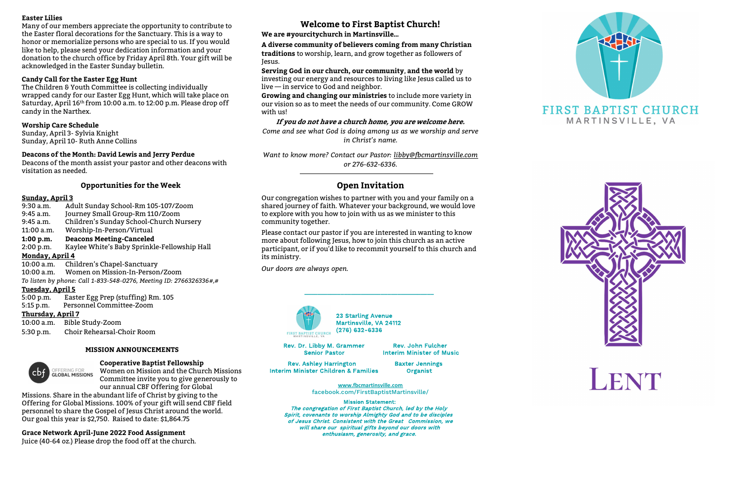#### Easter Lilies

Many of our members appreciate the opportunity to contribute to the Easter floral decorations for the Sanctuary. This is a way to honor or memorialize persons who are special to us. If you would like to help, please send your dedication information and your donation to the church office by Friday April 8th. Your gift will be acknowledged in the Easter Sunday bulletin.

#### Candy Call for the Easter Egg Hunt

The Children & Youth Committee is collecting individually wrapped candy for our Easter Egg Hunt, which will take place on Saturday, April 16<sup>th</sup> from 10:00 a.m. to 12:00 p.m. Please drop off candy in the Narthex.

#### Worship Care Schedule

Sunday, April 3- Sylvia Knight Sunday, April 10- Ruth Anne Collins

#### Deacons of the Month: David Lewis and Jerry Perdue

Deacons of the month assist your pastor and other deacons with visitation as needed.

#### Opportunities for the Week

#### Sunday, April 3

| 9:30 a.m.                                                          | Adult Sunday School-Rm 105-107/Zoom          |  |  |  |
|--------------------------------------------------------------------|----------------------------------------------|--|--|--|
| $9:45$ a.m.                                                        | Journey Small Group-Rm 110/Zoom              |  |  |  |
| 9:45 a.m.                                                          | Children's Sunday School-Church Nursery      |  |  |  |
| $11:00$ a.m.                                                       | Worship-In-Person/Virtual                    |  |  |  |
| 1:00 p.m.                                                          | <b>Deacons Meeting-Canceled</b>              |  |  |  |
| 2:00 p.m.                                                          | Kaylee White's Baby Sprinkle-Fellowship Hall |  |  |  |
| Monday, April 4                                                    |                                              |  |  |  |
| $10:00$ a.m.                                                       | Children's Chapel-Sanctuary                  |  |  |  |
| 10:00 a.m.                                                         | Women on Mission-In-Person/Zoom              |  |  |  |
| To listen by phone: Call 1-833-548-0276, Meeting ID: 2766326336#,# |                                              |  |  |  |
| Tuesday, April 5                                                   |                                              |  |  |  |
|                                                                    | 5:00 p.m. Easter Egg Prep (stuffing) Rm. 105 |  |  |  |
| $5:15$ p.m.                                                        | Personnel Committee-Zoom                     |  |  |  |
| <b>Thursday, April 7</b>                                           |                                              |  |  |  |
|                                                                    | 10:00 a.m. Bible Study-Zoom                  |  |  |  |
| 5:30 p.m.                                                          | Choir Rehearsal-Choir Room                   |  |  |  |
|                                                                    |                                              |  |  |  |

Growing and changing our ministries to include more variety in our vision so as to meet the needs of our community. Come GROW with us!

Want to know more? Contact our Pastor: libby@fbcmartinsville.com or 276-632-6336.

#### MISSION ANNOUNCEMENTS



#### Cooperative Baptist Fellowship

Women on Mission and the Church Missions Committee invite you to give generously to our annual CBF Offering for Global

Rev. Ashley Harrington Baxter Jennings Interim Minister Children & Families Organist

Missions. Share in the abundant life of Christ by giving to the Offering for Global Missions. 100% of your gift will send CBF field personnel to share the Gospel of Jesus Christ around the world. Our goal this year is \$2,750. Raised to date: \$1,864.75

Grace Network April-June 2022 Food Assignment

Juice (40-64 oz.) Please drop the food off at the church.

# Welcome to First Baptist Church!

## We are #yourcitychurch in Martinsville…

A diverse community of believers coming from many Christian traditions to worship, learn, and grow together as followers of Jesus.

Serving God in our church, our community, and the world by investing our energy and resources to living like Jesus called us to live — in service to God and neighbor.

If you do not have a church home, you are welcome here. Come and see what God is doing among us as we worship and serve in Christ's name.

# Open Invitation

Our congregation wishes to partner with you and your family on a shared journey of faith. Whatever your background, we would love to explore with you how to join with us as we minister to this community together.

Please contact our pastor if you are interested in wanting to know more about following Jesus, how to join this church as an active participant, or if you'd like to recommit yourself to this church and its ministry.

Our doors are always open.



\_\_\_\_\_\_\_\_\_\_\_\_\_\_\_\_\_\_\_\_\_\_\_\_\_\_\_\_\_\_\_\_\_\_\_\_\_\_\_

23 Starling Avenue Martinsville, VA 24112 (276) 632-6336

Rev. Dr. Libby M. Grammer Senior Pastor

Rev. John Fulcher Interim Minister of Music

www.fbcmartinsville.com facebook.com/FirstBaptistMartinsville/

Mission Statement: The congregation of First Baptist Church, led by the Holy Spirit, covenants to worship Almighty God and to be disciples of Jesus Christ. Consistent with the Great Commission, we will share our spiritual gifts beyond our doors with enthusiasm, generosity, and grace.



# **FIRST BAPTIST CHURCH** MARTINSVILLE, VA



# LENT